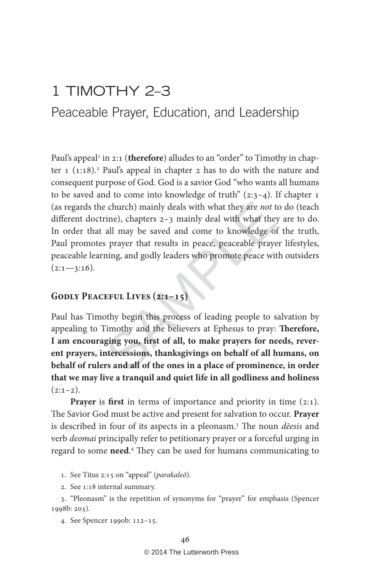# 1 TIMOTHY 2–3

Peaceable Prayer, Education, and Leadership

e church) mainly deals with what they are *not* the rine), chapters 2–3 mainly deal with what the all may be saved and come to knowledge of prayer that results in peace, peaceable prayer ining, and godly leaders who promot Paul's appeal<sup>1</sup> in 2:1 (therefore) alludes to an "order" to Timothy in chapter 1 (1:18).<sup>2</sup> Paul's appeal in chapter 2 has to do with the nature and consequent purpose of God. God is a savior God "who wants all humans to be saved and to come into knowledge of truth"  $(2:3-4)$ . If chapter 1 (as regards the church) mainly deals with what they are not to do (teach different doctrine), chapters 2–3 mainly deal with what they are to do. In order that all may be saved and come to knowledge of the truth, Paul promotes prayer that results in peace, peaceable prayer lifestyles, peaceable learning, and godly leaders who promote peace with outsiders  $(2:1 - 3:16)$ .

## **Godly Peaceful Lives (2:1–15)**

Paul has Timothy begin this process of leading people to salvation by appealing to Timothy and the believers at Ephesus to pray: **Therefore, I am encouraging you, first of all, to make prayers for needs, reverent prayers, intercessions, thanksgivings on behalf of all humans, on behalf of rulers and all of the ones in a place of prominence, in order that we may live a tranquil and quiet life in all godliness and holiness**   $(2:1-2)$ .

**Prayer** is **first** in terms of importance and priority in time (2:1). The Savior God must be active and present for salvation to occur. **Prayer** is described in four of its aspects in a pleonasm.<sup>3</sup> The noun *deesis* and verb deomai principally refer to petitionary prayer or a forceful urging in regard to some **need** . 4 They can be used for humans communicating to

1. See Titus 2:15 on "appeal" (parakaleō).

2. See 1:18 internal summary.

3. "Pleonasm" is the repetition of synonyms for "prayer" for emphasis (Spencer 1998b: 203).

4. See Spencer 1990b: 112–15.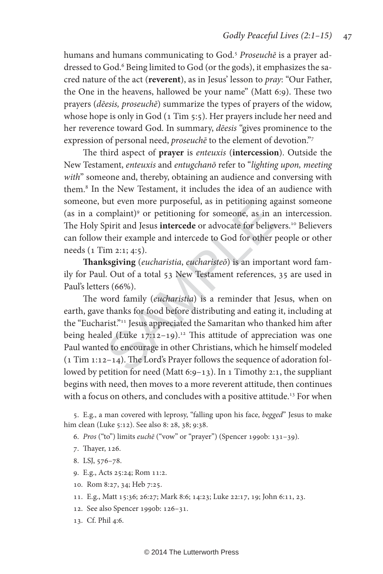humans and humans communicating to God.<sup>5</sup> Proseuchē is a prayer addressed to God.<sup>6</sup> Being limited to God (or the gods), it emphasizes the sacred nature of the act (**reverent**), as in Jesus' lesson to pray: "Our Father, the One in the heavens, hallowed be your name" (Matt 6:9). These two prayers (dēesis, proseuchē) summarize the types of prayers of the widow, whose hope is only in God (1 Tim 5:5). Her prayers include her need and her reverence toward God. In summary, *deesis* "gives prominence to the expression of personal need, *proseuche* to the element of devotion."7

The third aspect of **prayer** is enteuxis (**intercession**). Outside the New Testament, enteuxis and entugchanō refer to "lighting upon, meeting with" someone and, thereby, obtaining an audience and conversing with them. 8 In the New Testament, it includes the idea of an audience with someone, but even more purposeful, as in petitioning against someone (as in a complaint) 9 or petitioning for someone, as in an intercession. The Holy Spirit and Jesus **intercede** or advocate for believers.<sup>10</sup> Believers can follow their example and intercede to God for other people or other needs (1 Tim 2:1; 4:5).

**Thanksgiving** (eucharistia, eucharisteō) is an important word family for Paul. Out of a total 53 New Testament references, 35 are used in Paul's letters (66%).

but even more purposetut, as in petitioning agomplaint)<sup>9</sup> or petitioning for someone, as in a<br>Spirit and Jesus **intercede** or advocate for believ<br>their example and intercede to God for other  $\parallel$ <br>im 2:1; 4:5).<br>**ksgiving** The word family (eucharistia ) is a reminder that Jesus, when on earth, gave thanks for food before distributing and eating it, including at the "Eucharist."11 Jesus appreciated the Samaritan who thanked him after being healed (Luke  $17:12-19$ ).<sup>12</sup> This attitude of appreciation was one Paul wanted to encourage in other Christians, which he himself modeled (1 Tim 1:12–14). The Lord's Prayer follows the sequence of adoration followed by petition for need (Matt 6:9-13). In 1 Timothy 2:1, the suppliant begins with need, then moves to a more reverent attitude, then continues with a focus on others, and concludes with a positive attitude.<sup>13</sup> For when

5. E.g., a man covered with leprosy, "falling upon his face, begged " Jesus to make him clean (Luke 5:12). See also 8: 28, 38; 9:38.

6. Pros ("to") limits euchē ("vow" or "prayer") (Spencer 1990b: 131–39) .

- 7. Thayer, 126.
- 8. LSJ, 576–78.
- 9. E.g., Acts 25:24; Rom 11:2.
- 10. Rom 8:27, 34; Heb 7:25.
- 11. E.g., Matt 15:36; 26:27; Mark 8:6; 14:23; Luke 22:17, 19; John 6:11, 23.
- 12. See also Spencer 1990b: 126–31.
- 13. Cf. Phil 4:6.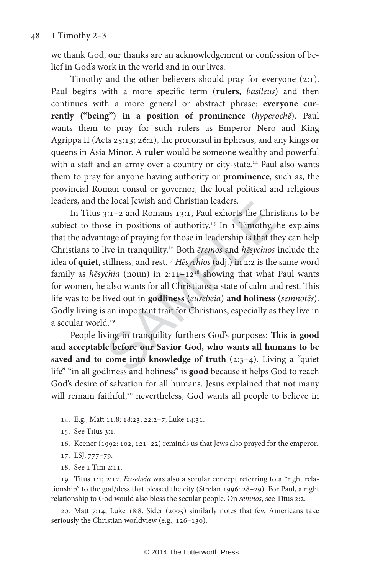we thank God, our thanks are an acknowledgement or confession of belief in God's work in the world and in our lives.

Timothy and the other believers should pray for everyone (2:1). Paul begins with a more specific term (**rulers**, basileus) and then continues with a more general or abstract phrase: **everyone currently ("being") in a position of prominence** (hyperochē). Paul wants them to pray for such rulers as Emperor Nero and King Agrippa II (Acts 25:13; 26:2), the proconsul in Ephesus, and any kings or queens in Asia Minor. A **ruler** would be someone wealthy and powerful with a staff and an army over a country or city-state.<sup>14</sup> Paul also wants them to pray for anyone having authority or **prominence**, such as, the provincial Roman consul or governor, the local political and religious leaders, and the local Jewish and Christian leaders.

ie iocal jewish and Christian leaders.<br>
3:1–2 and Romans 13:1, Paul exhorts the Chri<br>
see in positions of authority.<sup>15</sup> In 1 Timothy,<br>
tage of praying for those in leadership is that the<br>
live in tranquility.<sup>16</sup> Both *e* In Titus 3:1–2 and Romans 13:1, Paul exhorts the Christians to be subject to those in positions of authority.<sup>15</sup> In  $1$  Timothy, he explains that the advantage of praying for those in leadership is that they can help Christians to live in tranquility.16 Both ēremos and hēsychios include the idea of quiet, stillness, and rest.<sup>17</sup> Hēsychios (adj.) in 2:2 is the same word family as hēsychia (noun) in  $2:11-12^{18}$  showing that what Paul wants for women, he also wants for all Christians: a state of calm and rest. This life was to be lived out in **godliness (**eusebeia) **and holiness** (semnotēs). Godly living is an important trait for Christians, especially as they live in a secular world.<sup>19</sup>

People living in tranquility furthers God's purposes: **This is good and acceptable before our Savior God, who wants all humans to be saved and to come into knowledge of truth** (2:3–4). Living a "quiet life" "in all godliness and holiness" is **good** because it helps God to reach God's desire of salvation for all humans. Jesus explained that not many will remain faithful,<sup>20</sup> nevertheless, God wants all people to believe in

- 14. E.g., Matt 11:8; 18:23; 22:2–7; Luke 14:31.
- 15. See Titus 3:1.
- 16. Keener (1992: 102, 121–22) reminds us that Jews also prayed for the emperor.
- 17. LSJ, 777–79.
- 18. See 1 Tim 2:11.

19. Titus 1:1; 2:12. Eusebeia was also a secular concept referring to a "right relationship" to the god/dess that blessed the city (Strelan 1996: 28–29). For Paul, a right relationship to God would also bless the secular people. On semnos, see Titus 2:2.

20. Matt 7:14; Luke 18:8. Sider (2005) similarly notes that few Americans take seriously the Christian worldview (e.g., 126–130).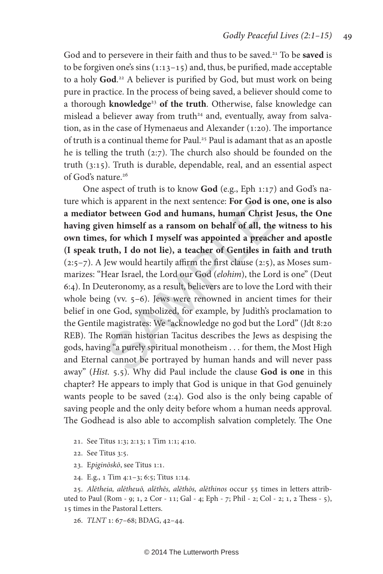God and to persevere in their faith and thus to be saved.<sup>21</sup> To be saved is to be forgiven one's sins  $(1:13-15)$  and, thus, be purified, made acceptable to a holy God.<sup>22</sup> A believer is purified by God, but must work on being pure in practice. In the process of being saved, a believer should come to a thorough **knowledge**<sup>23</sup> **of the truth**. Otherwise, false knowledge can mislead a believer away from truth<sup>24</sup> and, eventually, away from salvation, as in the case of Hymenaeus and Alexander (1:20). The importance of truth is a continual theme for Paul.<sup>25</sup> Paul is adamant that as an apostle he is telling the truth (2:7). The church also should be founded on the truth (3:15). Truth is durable, dependable, real, and an essential aspect of God's nature.<sup>26</sup>

Is apparent in the next sentence: **For God is d**<br> **r** between God and humans, human Christ<br>
ven himself as a ransom on behalf of all, the<br>
i, for which I myself was appointed a preach<br>
ruth, I do not lie), a teacher of Ge One aspect of truth is to know **God** (e.g., Eph 1:17) and God's nature which is apparent in the next sentence: **For God is one, one is also a mediator between God and humans, human Christ Jesus, the One having given himself as a ransom on behalf of all, the witness to his own times, for which I myself was appointed a preacher and apostle (I speak truth, I do not lie), a teacher of Gentiles in faith and truth**   $(2:5–7)$ . A Jew would heartily affirm the first clause  $(2:5)$ , as Moses summarizes: "Hear Israel, the Lord our God (elohim), the Lord is one" (Deut 6:4). In Deuteronomy, as a result, believers are to love the Lord with their whole being (vv. 5–6). Jews were renowned in ancient times for their belief in one God, symbolized, for example, by Judith's proclamation to the Gentile magistrates: We "acknowledge no god but the Lord" (Jdt 8:20 REB). The Roman historian Tacitus describes the Jews as despising the gods, having "a purely spiritual monotheism . . . for them, the Most High and Eternal cannot be portrayed by human hands and will never pass away" (Hist. 5.5). Why did Paul include the clause **God is one** in this chapter? He appears to imply that God is unique in that God genuinely wants people to be saved (2:4). God also is the only being capable of saving people and the only deity before whom a human needs approval. The Godhead is also able to accomplish salvation completely. The One

- 21. See Titus 1:3; 2:13; 1 Tim 1:1; 4:10.
- 22. See Titus 3:5.
- 23. Epiginōskō, see Titus 1:1.
- 24. E.g., 1 Tim 4:1–3; 6:5; Titus 1:14.

25. Alētheia, alētheuō, alēthēs, alēthōs, alēthinos occur 55 times in letters attributed to Paul (Rom - 9; 1, 2 Cor - 11; Gal - 4; Eph - 7; Phil - 2; Col - 2; 1, 2 Thess - 5), 15 times in the Pastoral Letters.

26. TLNT 1: 67–68; BDAG, 42–44.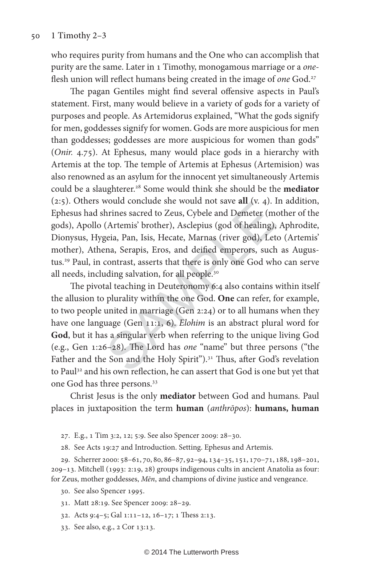who requires purity from humans and the One who can accomplish that purity are the same. Later in 1 Timothy, monogamous marriage or a oneflesh union will reflect humans being created in the image of one God.<sup>27</sup>

The pagan Gentiles might find several offensive aspects in Paul's statement. First, many would believe in a variety of gods for a variety of purposes and people. As Artemidorus explained, "What the gods signify for men, goddesses signify for women. Gods are more auspicious for men than goddesses; goddesses are more auspicious for women than gods" (Onir. 4.75). At Ephesus, many would place gods in a hierarchy with Artemis at the top. The temple of Artemis at Ephesus (Artemision) was also renowned as an asylum for the innocent yet simultaneously Artemis could be a slaughterer.28 Some would think she should be the **mediator** (2:5). Others would conclude she would not save **all** (v. 4). In addition, Ephesus had shrines sacred to Zeus, Cybele and Demeter (mother of the gods), Apollo (Artemis' brother), Asclepius (god of healing), Aphrodite, Dionysus, Hygeia, Pan, Isis, Hecate, Marnas (river god), Leto (Artemis' mother), Athena, Serapis, Eros, and deified emperors, such as Augustus.29 Paul, in contrast, asserts that there is only one God who can serve all needs, including salvation, for all people.30

would conclude she would not save an (v. 4). I<br>hrines sacred to Zeus, Cybele and Demeter (m<br>(Artemis' brother), Asclepius (god of healing),<br>geia, Pan, Isis, Hecate, Marnas (river god), Let<br>ena, Serapis, Eros, and deified The pivotal teaching in Deuteronomy 6:4 also contains within itself the allusion to plurality within the one God. **One** can refer, for example, to two people united in marriage (Gen 2:24) or to all humans when they have one language (Gen 11:1, 6). Elohim is an abstract plural word for **God**, but it has a singular verb when referring to the unique living God (e.g., Gen 1:26–28). The Lord has one "name" but three persons ("the Father and the Son and the Holy Spirit").<sup>31</sup> Thus, after God's revelation to Paul<sup>32</sup> and his own reflection, he can assert that God is one but yet that one God has three persons.33

Christ Jesus is the only **mediator** between God and humans. Paul places in juxtaposition the term **human** (anthrōpos): **humans, human**

27. E.g., 1 Tim 3:2, 12; 5:9. See also Spencer 2009: 28–30.

28. See Acts 19:27 and Introduction. Setting. Ephesus and Artemis.

29. Scherrer 2000: 58–61, 70, 80, 86–87, 92–94, 134–35, 151, 170–71, 188, 198–201, 209–13. Mitchell (1993: 2:19, 28) groups indigenous cults in ancient Anatolia as four: for Zeus, mother goddesses, Mēn, and champions of divine justice and vengeance.

30. See also Spencer 1995.

31. Matt 28:19. See Spencer 2009: 28–29.

32. Acts 9:4–5; Gal 1:11–12, 16–17; 1 Thess 2:13.

33. See also, e.g., 2 Cor 13:13.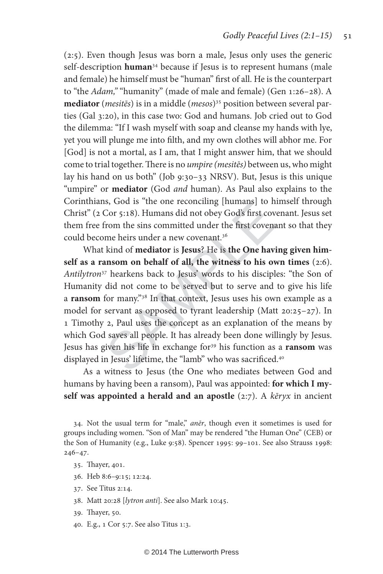(2:5). Even though Jesus was born a male, Jesus only uses the generic self-description **human**34 because if Jesus is to represent humans (male and female) he himself must be "human" first of all. He is the counterpart to "the Adam," "humanity" (made of male and female) (Gen 1:26-28). A **mediator** (mesitēs) is in a middle (mesos ) 35 position between several parties (Gal 3:20), in this case two: God and humans. Job cried out to God the dilemma: "If I wash myself with soap and cleanse my hands with lye, yet you will plunge me into filth, and my own clothes will abhor me. For [God] is not a mortal, as I am, that I might answer him, that we should come to trial together. There is no umpire (mesites) between us, who might lay his hand on us both" (Job 9:30–33 NRSV). But, Jesus is this unique "umpire" or **mediator** (God and human). As Paul also explains to the Corinthians, God is "the one reconciling [humans] to himself through Christ" (2 Cor 5:18). Humans did not obey God's first covenant. Jesus set them free from the sins committed under the first covenant so that they could become heirs under a new covenant.36

In Cor 5:18). Humans did not obey God's first cover<br>Cor 5:18). Humans did not obey God's first coven<br>from the sins committed under the first covena<br>me heirs under a new covenant.<sup>36</sup><br>kind of **mediator** is **Jesus**? He is What kind of **mediator** is **Jesus**? He is **the One having given himself as a ransom on behalf of all, the witness to his own times** (2:6). Antilytron<sup>37</sup> hearkens back to Jesus' words to his disciples: "the Son of Humanity did not come to be served but to serve and to give his life a **ransom** for many."38 In that context, Jesus uses his own example as a model for servant as opposed to tyrant leadership (Matt 20:25–27). In 1 Timothy 2, Paul uses the concept as an explanation of the means by which God saves all people. It has already been done willingly by Jesus. Jesus has given his life in exchange for<sup>39</sup> his function as a **ransom** was displayed in Jesus' lifetime, the "lamb" who was sacrificed.<sup>40</sup>

As a witness to Jesus (the One who mediates between God and humans by having been a ransom), Paul was appointed: **for which I myself was appointed a herald and an apostle** (2:7). A kēryx in ancient

34. Not the usual term for "male," anēr, though even it sometimes is used for groups including women. "Son of Man" may be rendered "the Human One" (CEB) or the Son of Humanity (e.g., Luke 9:58). Spencer 1995: 99–101. See also Strauss 1998: 246–47.

- 35. Thayer, 401.
- 36. Heb 8:6–9:15; 12:24.
- 37. See Titus 2:14.
- 38. Matt 20:28 [lytron anti]. See also Mark 10:45.
- 39. Thayer, 50.
- 40. E.g., 1 Cor 5:7. See also Titus 1:3.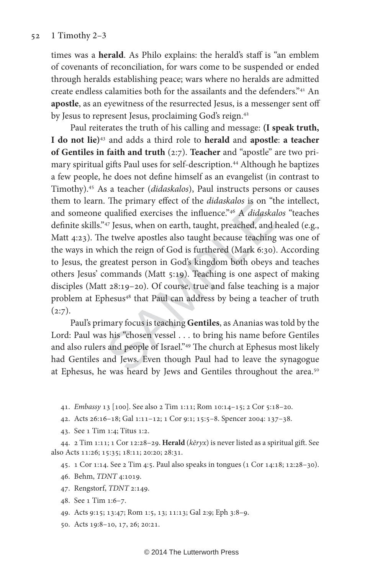#### 52 1 Timothy 2–3

times was a **herald**. As Philo explains: the herald's staff is "an emblem of covenants of reconciliation, for wars come to be suspended or ended through heralds establishing peace; wars where no heralds are admitted create endless calamities both for the assailants and the defenders."41 An **apostle**, as an eyewitness of the resurrected Jesus, is a messenger sent off by Jesus to represent Jesus, proclaiming God's reign.<sup>42</sup>

The primary enect of the *andaskalos* is on the qualified exercises the influence.<sup>246</sup> A *didaska*<sup>247</sup> Jesus, when on earth, taught, preached, and le twelve apostles also taught because teaching hich the reign of God is Paul reiterates the truth of his calling and message: **(I speak truth, I do not lie)**43 and adds a third role to **herald** and **apostle**: **a teacher of Gentiles in faith and truth** (2:7). **Teacher** and "apostle" are two primary spiritual gifts Paul uses for self-description.<sup>44</sup> Although he baptizes a few people, he does not define himself as an evangelist (in contrast to Timothy).45 As a teacher (didaskalos), Paul instructs persons or causes them to learn. The primary effect of the *didaskalos* is on "the intellect, and someone qualified exercises the influence."46 A didaskalos "teaches definite skills."47 Jesus, when on earth, taught, preached, and healed (e.g., Matt 4:23). The twelve apostles also taught because teaching was one of the ways in which the reign of God is furthered (Mark 6:30). According to Jesus, the greatest person in God's kingdom both obeys and teaches others Jesus' commands (Matt 5:19). Teaching is one aspect of making disciples (Matt 28:19–20). Of course, true and false teaching is a major problem at Ephesus<sup>48</sup> that Paul can address by being a teacher of truth  $(2:7).$ 

Paul's primary focus is teaching **Gentiles**, as Ananias was told by the Lord: Paul was his "chosen vessel . . . to bring his name before Gentiles and also rulers and people of Israel."49 The church at Ephesus most likely had Gentiles and Jews. Even though Paul had to leave the synagogue at Ephesus, he was heard by Jews and Gentiles throughout the area.<sup>50</sup>

41. Embassy 13 [100]. See also 2 Tim 1:11; Rom 10:14–15; 2 Cor 5:18–20.

42. Acts 26:16–18; Gal 1:11–12; 1 Cor 9:1; 15:5–8. Spencer 2004: 137–38.

43. See 1 Tim 1:4; Titus 1:2.

44. 2 Tim 1:11; 1 Cor 12:28–29. **Herald**  (kēryx ) is never listed as a spiritual gift. See also Acts 11:26; 15:35; 18:11; 20:20; 28:31.

45. 1 Cor 1:14. See 2 Tim 4:5. Paul also speaks in tongues (1 Cor 14:18; 12:28–30).

46. Behm, TDNT 4:1019.

- 47. Rengstorf, TDNT 2:149.
- 48. See 1 Tim 1:6–7.

49. Acts 9:15; 13:47; Rom 1:5, 13; 11:13; Gal 2:9; Eph 3:8–9.

50. Acts 19:8–10, 17, 26; 20:21.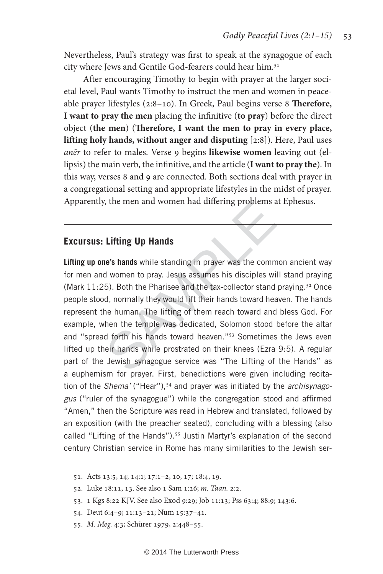Nevertheless, Paul's strategy was first to speak at the synagogue of each city where Jews and Gentile God-fearers could hear him.51

After encouraging Timothy to begin with prayer at the larger societal level, Paul wants Timothy to instruct the men and women in peaceable prayer lifestyles (2:8–10). In Greek, Paul begins verse 8 **Therefore, I want to pray the men** placing the infinitive (**to pray**) before the direct object (**the men**) (**Therefore, I want the men to pray in every place, lifting holy hands, without anger and disputing** [2:8]). Here, Paul uses anēr to refer to males. Verse 9 begins **likewise women** leaving out (ellipsis) the main verb, the infinitive, and the article (**I want to pray the**). In this way, verses 8 and 9 are connected. Both sections deal with prayer in a congregational setting and appropriate lifestyles in the midst of prayer. Apparently, the men and women had differing problems at Ephesus.

### **Excursus: Lifting Up Hands**

(solid to the Lifting Up Hands<br>
The "shands while standing in prayer was the commonly women to pray. Jesus assumes his disciples with the Pharisee and the tax-collector stand<br>
d, normally they would lift their hands toward **Lifting up one's hands** while standing in prayer was the common ancient way for men and women to pray. Jesus assumes his disciples will stand praying (Mark  $11:25$ ). Both the Pharisee and the tax-collector stand praying.<sup>52</sup> Once people stood, normally they would lift their hands toward heaven. The hands represent the human. The lifting of them reach toward and bless God. For example, when the temple was dedicated, Solomon stood before the altar and "spread forth his hands toward heaven."<sup>53</sup> Sometimes the Jews even lifted up their hands while prostrated on their knees (Ezra 9:5). A regular part of the Jewish synagogue service was "The Lifting of the Hands" as a euphemism for prayer. First, benedictions were given including recitation of the Shema' ("Hear"),<sup>54</sup> and prayer was initiated by the archisynagogus ("ruler of the synagogue") while the congregation stood and affirmed "Amen," then the Scripture was read in Hebrew and translated, followed by an exposition (with the preacher seated), concluding with a blessing (also called "Lifting of the Hands").<sup>55</sup> Justin Martyr's explanation of the second century Christian service in Rome has many similarities to the Jewish ser-

- 51. Acts 13:5, 14; 14:1; 17:1–2, 10, 17; 18:4, 19.
- 52. Luke 18:11, 13. See also 1 Sam 1:26; m. Taan. 2:2.
- 53. 1 Kgs 8:22 KJV. See also Exod 9:29; Job 11:13; Pss 63:4; 88:9; 143:6.
- 54. Deut 6:4–9; 11:13–21; Num 15:37–41.
- 55. M. Meg. 4:3; Schürer 1979, 2:448–55.